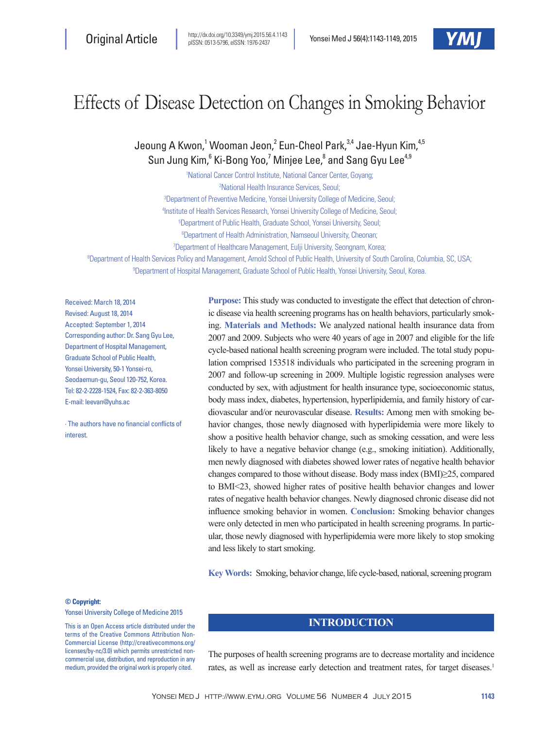

# Effects of Disease Detection on Changes in Smoking Behavior

Jeoung A Kwon,<sup>1</sup> Wooman Jeon,<sup>2</sup> Eun-Cheol Park,<sup>3,4</sup> Jae-Hyun Kim,<sup>4,5</sup> Sun Jung Kim,<sup>6</sup> Ki-Bong Yoo,<sup>7</sup> Minjee Lee,<sup>8</sup> and Sang Gyu Lee<sup>4,9</sup>

 National Cancer Control Institute, National Cancer Center, Goyang; National Health Insurance Services, Seoul; Department of Preventive Medicine, Yonsei University College of Medicine, Seoul; Institute of Health Services Research, Yonsei University College of Medicine, Seoul; Department of Public Health, Graduate School, Yonsei University, Seoul; Department of Health Administration, Namseoul University, Cheonan; Department of Healthcare Management, Eulji University, Seongnam, Korea; Department of Health Services Policy and Management, Arnold School of Public Health, University of South Carolina, Columbia, SC, USA; Department of Hospital Management, Graduate School of Public Health, Yonsei University, Seoul, Korea.

Received: March 18, 2014 Revised: August 18, 2014 Accepted: September 1, 2014 Corresponding author: Dr. Sang Gyu Lee, Department of Hospital Management, Graduate School of Public Health, Yonsei University, 50-1 Yonsei-ro, Seodaemun-gu, Seoul 120-752, Korea. Tel: 82-2-2228-1524, Fax: 82-2-363-8050 E-mail: leevan@yuhs.ac

∙ The authors have no financial conflicts of interest.

**Purpose:** This study was conducted to investigate the effect that detection of chronic disease via health screening programs has on health behaviors, particularly smoking. **Materials and Methods:** We analyzed national health insurance data from 2007 and 2009. Subjects who were 40 years of age in 2007 and eligible for the life cycle-based national health screening program were included. The total study population comprised 153518 individuals who participated in the screening program in 2007 and follow-up screening in 2009. Multiple logistic regression analyses were conducted by sex, with adjustment for health insurance type, socioeconomic status, body mass index, diabetes, hypertension, hyperlipidemia, and family history of cardiovascular and/or neurovascular disease. **Results:** Among men with smoking behavior changes, those newly diagnosed with hyperlipidemia were more likely to show a positive health behavior change, such as smoking cessation, and were less likely to have a negative behavior change (e.g., smoking initiation). Additionally, men newly diagnosed with diabetes showed lower rates of negative health behavior changes compared to those without disease. Body mass index (BMI)≥25, compared to BMI<23, showed higher rates of positive health behavior changes and lower rates of negative health behavior changes. Newly diagnosed chronic disease did not influence smoking behavior in women. **Conclusion:** Smoking behavior changes were only detected in men who participated in health screening programs. In particular, those newly diagnosed with hyperlipidemia were more likely to stop smoking and less likely to start smoking.

**Key Words:** Smoking, behavior change, life cycle-based, national, screening program

**© Copyright:**

Yonsei University College of Medicine 2015

This is an Open Access article distributed under the terms of the Creative Commons Attribution Non-Commercial License (http://creativecommons.org/ licenses/by-nc/3.0) which permits unrestricted noncommercial use, distribution, and reproduction in any medium, provided the original work is properly cited.

## **INTRODUCTION**

The purposes of health screening programs are to decrease mortality and incidence rates, as well as increase early detection and treatment rates, for target diseases.<sup>1</sup>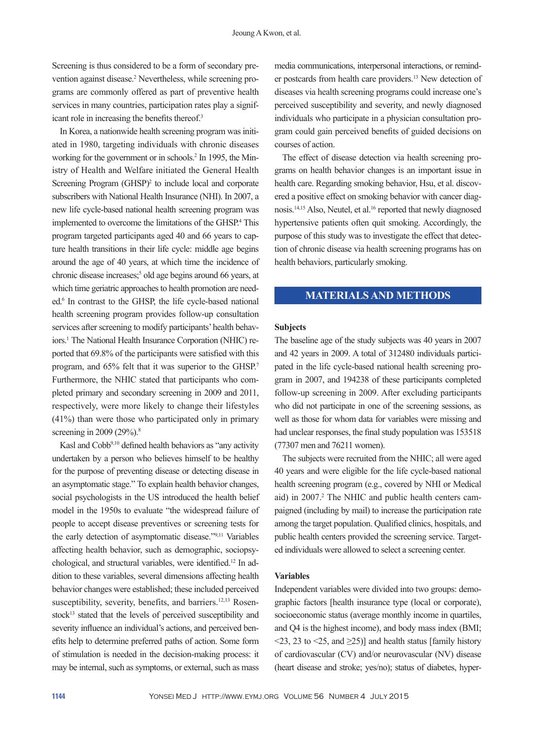Screening is thus considered to be a form of secondary prevention against disease.<sup>2</sup> Nevertheless, while screening programs are commonly offered as part of preventive health services in many countries, participation rates play a significant role in increasing the benefits thereof.<sup>3</sup>

In Korea, a nationwide health screening program was initiated in 1980, targeting individuals with chronic diseases working for the government or in schools.<sup>2</sup> In 1995, the Ministry of Health and Welfare initiated the General Health Screening Program (GHSP)<sup>2</sup> to include local and corporate subscribers with National Health Insurance (NHI). In 2007, a new life cycle-based national health screening program was implemented to overcome the limitations of the GHSP.<sup>4</sup> This program targeted participants aged 40 and 66 years to capture health transitions in their life cycle: middle age begins around the age of 40 years, at which time the incidence of chronic disease increases;<sup>5</sup> old age begins around 66 years, at which time geriatric approaches to health promotion are needed.<sup>6</sup> In contrast to the GHSP, the life cycle-based national health screening program provides follow-up consultation services after screening to modify participants' health behaviors.1 The National Health Insurance Corporation (NHIC) reported that 69.8% of the participants were satisfied with this program, and 65% felt that it was superior to the GHSP.7 Furthermore, the NHIC stated that participants who completed primary and secondary screening in 2009 and 2011, respectively, were more likely to change their lifestyles (41%) than were those who participated only in primary screening in 2009 (29%).<sup>8</sup>

Kasl and Cobb9,10 defined health behaviors as "any activity undertaken by a person who believes himself to be healthy for the purpose of preventing disease or detecting disease in an asymptomatic stage." To explain health behavior changes, social psychologists in the US introduced the health belief model in the 1950s to evaluate "the widespread failure of people to accept disease preventives or screening tests for the early detection of asymptomatic disease."9,11 Variables affecting health behavior, such as demographic, sociopsychological, and structural variables, were identified.12 In addition to these variables, several dimensions affecting health behavior changes were established; these included perceived susceptibility, severity, benefits, and barriers.<sup>12,13</sup> Rosenstock<sup>13</sup> stated that the levels of perceived susceptibility and severity influence an individual's actions, and perceived benefits help to determine preferred paths of action. Some form of stimulation is needed in the decision-making process: it may be internal, such as symptoms, or external, such as mass

media communications, interpersonal interactions, or reminder postcards from health care providers.13 New detection of diseases via health screening programs could increase one's perceived susceptibility and severity, and newly diagnosed individuals who participate in a physician consultation program could gain perceived benefits of guided decisions on courses of action.

The effect of disease detection via health screening programs on health behavior changes is an important issue in health care. Regarding smoking behavior, Hsu, et al. discovered a positive effect on smoking behavior with cancer diagnosis.14,15 Also, Neutel, et al.16 reported that newly diagnosed hypertensive patients often quit smoking. Accordingly, the purpose of this study was to investigate the effect that detection of chronic disease via health screening programs has on health behaviors, particularly smoking.

## **MATERIALS AND METHODS**

#### **Subjects**

The baseline age of the study subjects was 40 years in 2007 and 42 years in 2009. A total of 312480 individuals participated in the life cycle-based national health screening program in 2007, and 194238 of these participants completed follow-up screening in 2009. After excluding participants who did not participate in one of the screening sessions, as well as those for whom data for variables were missing and had unclear responses, the final study population was 153518 (77307 men and 76211 women).

The subjects were recruited from the NHIC; all were aged 40 years and were eligible for the life cycle-based national health screening program (e.g., covered by NHI or Medical aid) in 2007.<sup>2</sup> The NHIC and public health centers campaigned (including by mail) to increase the participation rate among the target population. Qualified clinics, hospitals, and public health centers provided the screening service. Targeted individuals were allowed to select a screening center.

#### **Variables**

Independent variables were divided into two groups: demographic factors [health insurance type (local or corporate), socioeconomic status (average monthly income in quartiles, and Q4 is the highest income), and body mass index (BMI;  $\langle 23, 23 \rangle$  to  $\langle 25, 23 \rangle$ ] and health status [family history of cardiovascular (CV) and/or neurovascular (NV) disease (heart disease and stroke; yes/no); status of diabetes, hyper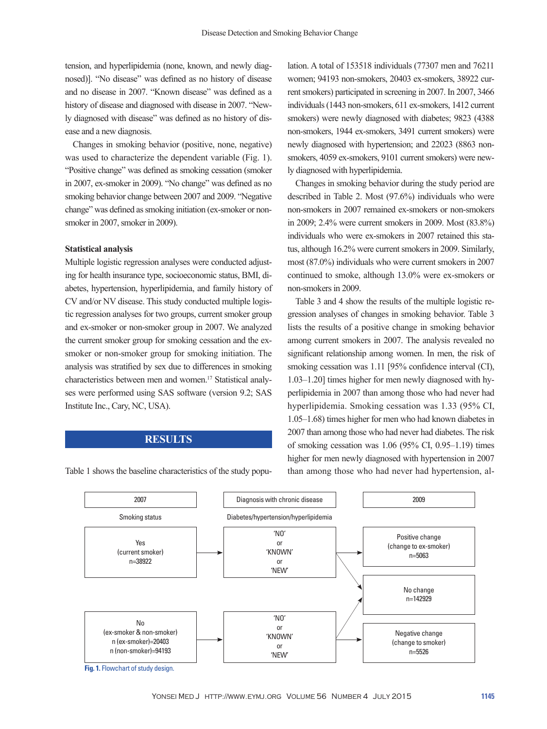tension, and hyperlipidemia (none, known, and newly diagnosed)]. "No disease" was defined as no history of disease and no disease in 2007. "Known disease" was defined as a history of disease and diagnosed with disease in 2007. "Newly diagnosed with disease" was defined as no history of disease and a new diagnosis.

Changes in smoking behavior (positive, none, negative) was used to characterize the dependent variable (Fig. 1). "Positive change" was defined as smoking cessation (smoker in 2007, ex-smoker in 2009). "No change" was defined as no smoking behavior change between 2007 and 2009. "Negative change" was defined as smoking initiation (ex-smoker or nonsmoker in 2007, smoker in 2009).

#### **Statistical analysis**

Multiple logistic regression analyses were conducted adjusting for health insurance type, socioeconomic status, BMI, diabetes, hypertension, hyperlipidemia, and family history of CV and/or NV disease. This study conducted multiple logistic regression analyses for two groups, current smoker group and ex-smoker or non-smoker group in 2007. We analyzed the current smoker group for smoking cessation and the exsmoker or non-smoker group for smoking initiation. The analysis was stratified by sex due to differences in smoking characteristics between men and women.17 Statistical analyses were performed using SAS software (version 9.2; SAS Institute Inc., Cary, NC, USA).

#### **RESULTS**

Table 1 shows the baseline characteristics of the study popu-

lation. A total of 153518 individuals (77307 men and 76211 women; 94193 non-smokers, 20403 ex-smokers, 38922 current smokers) participated in screening in 2007. In 2007, 3466 individuals (1443 non-smokers, 611 ex-smokers, 1412 current smokers) were newly diagnosed with diabetes; 9823 (4388 non-smokers, 1944 ex-smokers, 3491 current smokers) were newly diagnosed with hypertension; and 22023 (8863 nonsmokers, 4059 ex-smokers, 9101 current smokers) were newly diagnosed with hyperlipidemia.

Changes in smoking behavior during the study period are described in Table 2. Most (97.6%) individuals who were non-smokers in 2007 remained ex-smokers or non-smokers in 2009; 2.4% were current smokers in 2009. Most (83.8%) individuals who were ex-smokers in 2007 retained this status, although 16.2% were current smokers in 2009. Similarly, most (87.0%) individuals who were current smokers in 2007 continued to smoke, although 13.0% were ex-smokers or non-smokers in 2009.

Table 3 and 4 show the results of the multiple logistic regression analyses of changes in smoking behavior. Table 3 lists the results of a positive change in smoking behavior among current smokers in 2007. The analysis revealed no significant relationship among women. In men, the risk of smoking cessation was 1.11 [95% confidence interval (CI), 1.03‒1.20] times higher for men newly diagnosed with hyperlipidemia in 2007 than among those who had never had hyperlipidemia. Smoking cessation was 1.33 (95% CI, 1.05‒1.68) times higher for men who had known diabetes in 2007 than among those who had never had diabetes. The risk of smoking cessation was  $1.06$  (95% CI, 0.95-1.19) times higher for men newly diagnosed with hypertension in 2007 than among those who had never had hypertension, al-

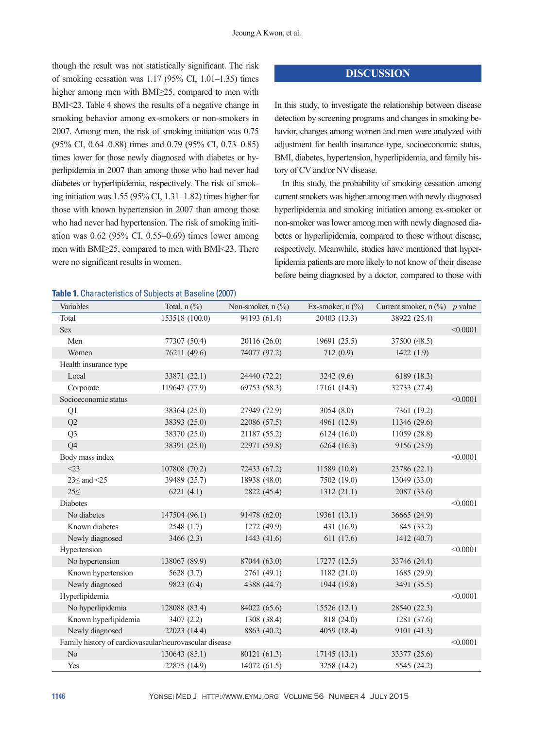though the result was not statistically significant. The risk of smoking cessation was  $1.17$  (95% CI,  $1.01-1.35$ ) times higher among men with BMI≥25, compared to men with BMI<23. Table 4 shows the results of a negative change in smoking behavior among ex-smokers or non-smokers in 2007. Among men, the risk of smoking initiation was 0.75 (95% CI, 0.64–0.88) times and 0.79 (95% CI, 0.73–0.85) times lower for those newly diagnosed with diabetes or hyperlipidemia in 2007 than among those who had never had diabetes or hyperlipidemia, respectively. The risk of smoking initiation was  $1.55$  (95% CI,  $1.31-1.82$ ) times higher for those with known hypertension in 2007 than among those who had never had hypertension. The risk of smoking initiation was  $0.62$  (95% CI, 0.55–0.69) times lower among men with BMI≥25, compared to men with BMI<23. There were no significant results in women.

## **Table 1.** Characteristics of Subjects at Baseline (2007)

#### **DISCUSSION**

In this study, to investigate the relationship between disease detection by screening programs and changes in smoking behavior, changes among women and men were analyzed with adjustment for health insurance type, socioeconomic status, BMI, diabetes, hypertension, hyperlipidemia, and family history of CV and/or NV disease.

In this study, the probability of smoking cessation among current smokers was higher among men with newly diagnosed hyperlipidemia and smoking initiation among ex-smoker or non-smoker was lower among men with newly diagnosed diabetes or hyperlipidemia, compared to those without disease, respectively. Meanwhile, studies have mentioned that hyperlipidemia patients are more likely to not know of their disease before being diagnosed by a doctor, compared to those with

| Variables                                              | Total, $n$ $\left(\frac{9}{6}\right)$ | Non-smoker, $n$ $\left(\frac{9}{0}\right)$ | Ex-smoker, $n$ $\left(\frac{9}{6}\right)$ | Current smoker, $n$ (%) | $p$ value |
|--------------------------------------------------------|---------------------------------------|--------------------------------------------|-------------------------------------------|-------------------------|-----------|
| Total                                                  | 153518 (100.0)                        | 94193 (61.4)                               | 20403 (13.3)                              | 38922 (25.4)            |           |
| Sex                                                    |                                       |                                            |                                           |                         | < 0.0001  |
| Men                                                    | 77307 (50.4)                          | 20116 (26.0)                               | 19691 (25.5)                              | 37500 (48.5)            |           |
| Women                                                  | 76211 (49.6)                          | 74077 (97.2)                               | 712(0.9)                                  | 1422(1.9)               |           |
| Health insurance type                                  |                                       |                                            |                                           |                         |           |
| Local                                                  | 33871 (22.1)                          | 24440 (72.2)                               | 3242 (9.6)                                | 6189 (18.3)             |           |
| Corporate                                              | 119647 (77.9)                         | 69753 (58.3)                               | 17161 (14.3)                              | 32733 (27.4)            |           |
| Socioeconomic status                                   |                                       |                                            |                                           |                         | < 0.0001  |
| Q1                                                     | 38364 (25.0)                          | 27949 (72.9)                               | 3054 (8.0)                                | 7361 (19.2)             |           |
| Q2                                                     | 38393 (25.0)                          | 22086 (57.5)                               | 4961 (12.9)                               | 11346 (29.6)            |           |
| Q <sub>3</sub>                                         | 38370 (25.0)                          | 21187 (55.2)                               | 6124(16.0)                                | 11059 (28.8)            |           |
| Q <sub>4</sub>                                         | 38391 (25.0)                          | 22971 (59.8)                               | 6264(16.3)                                | 9156 (23.9)             |           |
| Body mass index                                        |                                       |                                            |                                           |                         | < 0.0001  |
| $<$ 23                                                 | 107808 (70.2)                         | 72433 (67.2)                               | 11589 (10.8)                              | 23786 (22.1)            |           |
| $23 \leq$ and $\leq$ 25                                | 39489 (25.7)                          | 18938 (48.0)                               | 7502 (19.0)                               | 13049 (33.0)            |           |
| $25 \le$                                               | 6221(4.1)                             | 2822 (45.4)                                | 1312(21.1)                                | 2087 (33.6)             |           |
| <b>Diabetes</b>                                        |                                       |                                            |                                           |                         | < 0.0001  |
| No diabetes                                            | 147504 (96.1)                         | 91478 (62.0)                               | 19361 (13.1)                              | 36665 (24.9)            |           |
| Known diabetes                                         | 2548(1.7)                             | 1272 (49.9)                                | 431 (16.9)                                | 845 (33.2)              |           |
| Newly diagnosed                                        | 3466(2.3)                             | 1443(41.6)                                 | 611 (17.6)                                | 1412 (40.7)             |           |
| Hypertension                                           |                                       |                                            |                                           |                         | < 0.0001  |
| No hypertension                                        | 138067 (89.9)                         | 87044 (63.0)                               | 17277(12.5)                               | 33746 (24.4)            |           |
| Known hypertension                                     | 5628 (3.7)                            | 2761 (49.1)                                | 1182 (21.0)                               | 1685 (29.9)             |           |
| Newly diagnosed                                        | 9823 (6.4)                            | 4388 (44.7)                                | 1944 (19.8)                               | 3491 (35.5)             |           |
| Hyperlipidemia                                         |                                       |                                            |                                           |                         | < 0.0001  |
| No hyperlipidemia                                      | 128088 (83.4)                         | 84022 (65.6)                               | 15526(12.1)                               | 28540 (22.3)            |           |
| Known hyperlipidemia                                   | 3407(2.2)                             | 1308 (38.4)                                | 818 (24.0)                                | 1281 (37.6)             |           |
| Newly diagnosed                                        | 22023 (14.4)                          | 8863 (40.2)                                | 4059 (18.4)                               | 9101 (41.3)             |           |
| Family history of cardiovascular/neurovascular disease |                                       |                                            |                                           |                         | < 0.0001  |
| No                                                     | 130643 (85.1)                         | 80121 (61.3)                               | 17145(13.1)                               | 33377 (25.6)            |           |
| Yes                                                    | 22875 (14.9)                          | 14072 (61.5)                               | 3258 (14.2)                               | 5545 (24.2)             |           |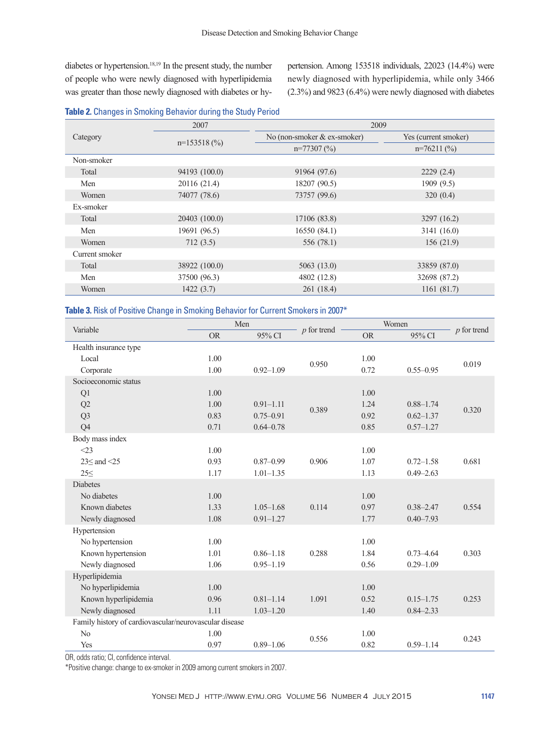diabetes or hypertension.<sup>18,19</sup> In the present study, the number of people who were newly diagnosed with hyperlipidemia was greater than those newly diagnosed with diabetes or hypertension. Among 153518 individuals, 22023 (14.4%) were newly diagnosed with hyperlipidemia, while only 3466 (2.3%) and 9823 (6.4%) were newly diagnosed with diabetes

#### **Table 2.** Changes in Smoking Behavior during the Study Period

|                | 2007          | 2009                          |                      |  |  |
|----------------|---------------|-------------------------------|----------------------|--|--|
| Category       |               | No (non-smoker $&$ ex-smoker) | Yes (current smoker) |  |  |
|                | $n=153518(%)$ | $n=77307(%)$                  | $n=76211(%)$         |  |  |
| Non-smoker     |               |                               |                      |  |  |
| Total          | 94193 (100.0) | 91964 (97.6)                  | 2229(2.4)            |  |  |
| Men            | 20116 (21.4)  | 18207 (90.5)                  | 1909 (9.5)           |  |  |
| Women          | 74077 (78.6)  | 73757 (99.6)                  | 320(0.4)             |  |  |
| Ex-smoker      |               |                               |                      |  |  |
| Total          | 20403 (100.0) | 17106 (83.8)                  | 3297 (16.2)          |  |  |
| Men            | 19691 (96.5)  | 16550(84.1)                   | 3141 (16.0)          |  |  |
| Women          | 712(3.5)      | 556 (78.1)                    | 156(21.9)            |  |  |
| Current smoker |               |                               |                      |  |  |
| Total          | 38922 (100.0) | 5063(13.0)                    | 33859 (87.0)         |  |  |
| Men            | 37500 (96.3)  | 4802 (12.8)                   | 32698 (87.2)         |  |  |
| Women          | 1422(3.7)     | 261 (18.4)                    | 1161(81.7)           |  |  |

### **Table 3.** Risk of Positive Change in Smoking Behavior for Current Smokers in 2007\*

| Variable                                               | Men       |               |               | Women     |               |                    |
|--------------------------------------------------------|-----------|---------------|---------------|-----------|---------------|--------------------|
|                                                        | <b>OR</b> | 95% CI        | $p$ for trend | <b>OR</b> | 95% CI        | $\n  p $ for trend |
| Health insurance type                                  |           |               |               |           |               |                    |
| Local                                                  | 1.00      |               | 0.950         | 1.00      |               | 0.019              |
| Corporate                                              | 1.00      | $0.92 - 1.09$ |               | 0.72      | $0.55 - 0.95$ |                    |
| Socioeconomic status                                   |           |               |               |           |               |                    |
| Q1                                                     | 1.00      |               |               | 1.00      |               |                    |
| Q2                                                     | 1.00      | $0.91 - 1.11$ | 0.389         | 1.24      | $0.88 - 1.74$ | 0.320              |
| Q <sub>3</sub>                                         | 0.83      | $0.75 - 0.91$ |               | 0.92      | $0.62 - 1.37$ |                    |
| Q4                                                     | 0.71      | $0.64 - 0.78$ |               | 0.85      | $0.57 - 1.27$ |                    |
| Body mass index                                        |           |               |               |           |               |                    |
| $<$ 23                                                 | 1.00      |               |               | 1.00      |               |                    |
| $23<$ and $<$ 25                                       | 0.93      | $0.87 - 0.99$ | 0.906         | 1.07      | $0.72 - 1.58$ | 0.681              |
| $25 \le$                                               | 1.17      | $1.01 - 1.35$ |               | 1.13      | $0.49 - 2.63$ |                    |
| <b>Diabetes</b>                                        |           |               |               |           |               |                    |
| No diabetes                                            | 1.00      |               |               | 1.00      |               |                    |
| Known diabetes                                         | 1.33      | $1.05 - 1.68$ | 0.114         | 0.97      | $0.38 - 2.47$ | 0.554              |
| Newly diagnosed                                        | 1.08      | $0.91 - 1.27$ |               | 1.77      | $0.40 - 7.93$ |                    |
| Hypertension                                           |           |               |               |           |               |                    |
| No hypertension                                        | 1.00      |               |               | 1.00      |               |                    |
| Known hypertension                                     | 1.01      | $0.86 - 1.18$ | 0.288         | 1.84      | $0.73 - 4.64$ | 0.303              |
| Newly diagnosed                                        | 1.06      | $0.95 - 1.19$ |               | 0.56      | $0.29 - 1.09$ |                    |
| Hyperlipidemia                                         |           |               |               |           |               |                    |
| No hyperlipidemia                                      | 1.00      |               |               | 1.00      |               |                    |
| Known hyperlipidemia                                   | 0.96      | $0.81 - 1.14$ | 1.091         | 0.52      | $0.15 - 1.75$ | 0.253              |
| Newly diagnosed                                        | 1.11      | $1.03 - 1.20$ |               | 1.40      | $0.84 - 2.33$ |                    |
| Family history of cardiovascular/neurovascular disease |           |               |               |           |               |                    |
| No                                                     | 1.00      |               | 0.556         | 1.00      |               | 0.243              |
| Yes                                                    | 0.97      | $0.89 - 1.06$ |               | 0.82      | $0.59 - 1.14$ |                    |

OR, odds ratio; CI, confidence interval.

\*Positive change: change to ex-smoker in 2009 among current smokers in 2007.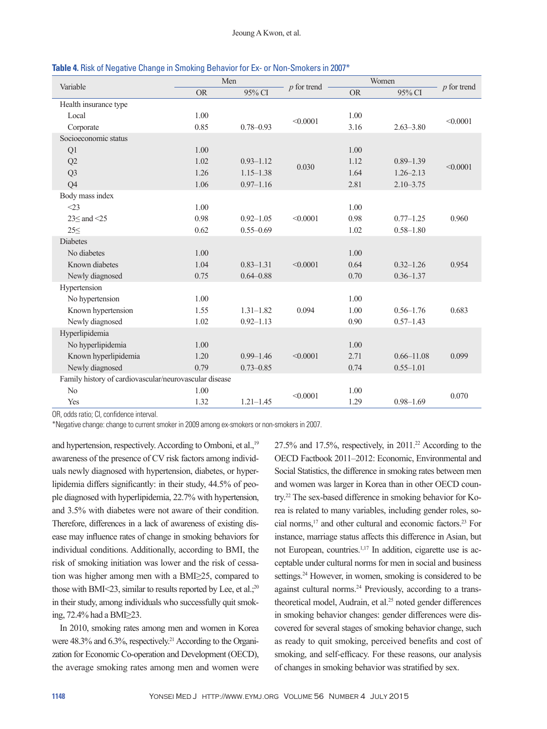|                                                        | Men       |               |               | Women     |                |               |
|--------------------------------------------------------|-----------|---------------|---------------|-----------|----------------|---------------|
| Variable                                               | <b>OR</b> | 95% CI        | $p$ for trend | <b>OR</b> | 95% CI         | $p$ for trend |
| Health insurance type                                  |           |               |               |           |                |               |
| Local                                                  | 1.00      |               | < 0.0001      | 1.00      |                | < 0.0001      |
| Corporate                                              | 0.85      | $0.78 - 0.93$ |               | 3.16      | $2.63 - 3.80$  |               |
| Socioeconomic status                                   |           |               |               |           |                |               |
| Q1                                                     | 1.00      |               |               | 1.00      |                |               |
| Q2                                                     | 1.02      | $0.93 - 1.12$ |               | 1.12      | $0.89 - 1.39$  |               |
| Q <sub>3</sub>                                         | 1.26      | $1.15 - 1.38$ | 0.030         | 1.64      | $1.26 - 2.13$  | < 0.0001      |
| Q <sub>4</sub>                                         | 1.06      | $0.97 - 1.16$ |               | 2.81      | $2.10 - 3.75$  |               |
| Body mass index                                        |           |               |               |           |                |               |
| $<$ 23                                                 | 1.00      |               |               | 1.00      |                |               |
| $23 \leq$ and $\leq 25$                                | 0.98      | $0.92 - 1.05$ | < 0.0001      | 0.98      | $0.77 - 1.25$  | 0.960         |
| $25 \le$                                               | 0.62      | $0.55 - 0.69$ |               | 1.02      | $0.58 - 1.80$  |               |
| <b>Diabetes</b>                                        |           |               |               |           |                |               |
| No diabetes                                            | 1.00      |               |               | 1.00      |                |               |
| Known diabetes                                         | 1.04      | $0.83 - 1.31$ | < 0.0001      | 0.64      | $0.32 - 1.26$  | 0.954         |
| Newly diagnosed                                        | 0.75      | $0.64 - 0.88$ |               | 0.70      | $0.36 - 1.37$  |               |
| Hypertension                                           |           |               |               |           |                |               |
| No hypertension                                        | 1.00      |               |               | 1.00      |                |               |
| Known hypertension                                     | 1.55      | $1.31 - 1.82$ | 0.094         | 1.00      | $0.56 - 1.76$  | 0.683         |
| Newly diagnosed                                        | 1.02      | $0.92 - 1.13$ |               | 0.90      | $0.57 - 1.43$  |               |
| Hyperlipidemia                                         |           |               |               |           |                |               |
| No hyperlipidemia                                      | 1.00      |               |               | 1.00      |                |               |
| Known hyperlipidemia                                   | 1.20      | $0.99 - 1.46$ | < 0.0001      | 2.71      | $0.66 - 11.08$ | 0.099         |
| Newly diagnosed                                        | 0.79      | $0.73 - 0.85$ |               | 0.74      | $0.55 - 1.01$  |               |
| Family history of cardiovascular/neurovascular disease |           |               |               |           |                |               |
| No                                                     | 1.00      |               | < 0.0001      | 1.00      |                | 0.070         |
| Yes                                                    | 1.32      | $1.21 - 1.45$ |               | 1.29      | $0.98 - 1.69$  |               |

**Table 4.** Risk of Negative Change in Smoking Behavior for Ex- or Non-Smokers in 2007\*

OR, odds ratio; CI, confidence interval.

\*Negative change: change to current smoker in 2009 among ex-smokers or non-smokers in 2007.

and hypertension, respectively. According to Omboni, et al.,<sup>19</sup> awareness of the presence of CV risk factors among individuals newly diagnosed with hypertension, diabetes, or hyperlipidemia differs significantly: in their study, 44.5% of people diagnosed with hyperlipidemia, 22.7% with hypertension, and 3.5% with diabetes were not aware of their condition. Therefore, differences in a lack of awareness of existing disease may influence rates of change in smoking behaviors for individual conditions. Additionally, according to BMI, the risk of smoking initiation was lower and the risk of cessation was higher among men with a BMI≥25, compared to those with BMI<23, similar to results reported by Lee, et al.;<sup>20</sup> in their study, among individuals who successfully quit smoking, 72.4% had a BMI≥23.

In 2010, smoking rates among men and women in Korea were 48.3% and 6.3%, respectively.<sup>21</sup> According to the Organization for Economic Co-operation and Development (OECD), the average smoking rates among men and women were 27.5% and 17.5%, respectively, in 2011.22 According to the OECD Factbook 2011–2012: Economic, Environmental and Social Statistics, the difference in smoking rates between men and women was larger in Korea than in other OECD country.22 The sex-based difference in smoking behavior for Korea is related to many variables, including gender roles, social norms,17 and other cultural and economic factors.23 For instance, marriage status affects this difference in Asian, but not European, countries.<sup>1,17</sup> In addition, cigarette use is acceptable under cultural norms for men in social and business settings.<sup>24</sup> However, in women, smoking is considered to be against cultural norms.24 Previously, according to a transtheoretical model, Audrain, et al.<sup>25</sup> noted gender differences in smoking behavior changes: gender differences were discovered for several stages of smoking behavior change, such as ready to quit smoking, perceived benefits and cost of smoking, and self-efficacy. For these reasons, our analysis of changes in smoking behavior was stratified by sex.